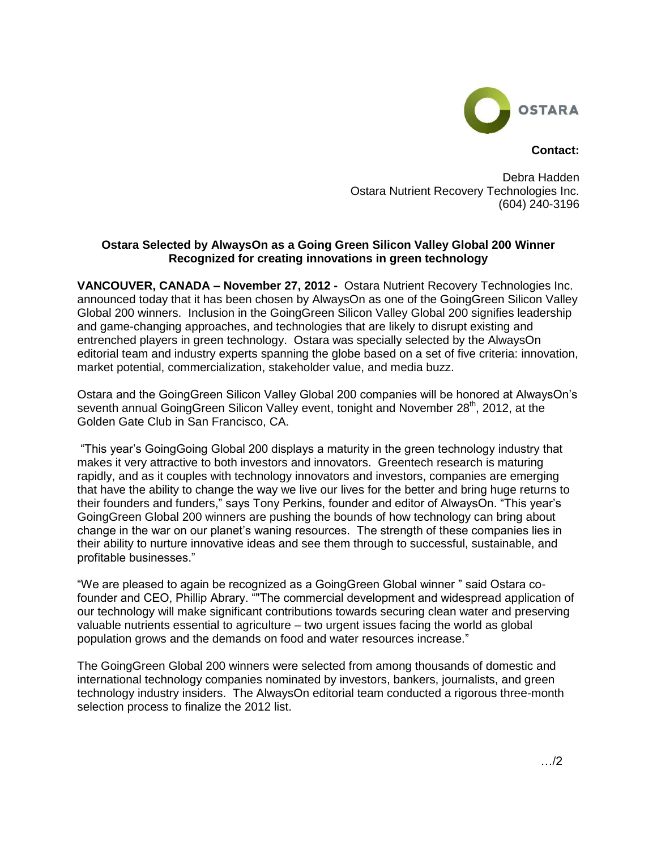

**Contact:**

Debra Hadden Ostara Nutrient Recovery Technologies Inc. (604) 240-3196

## **Ostara Selected by AlwaysOn as a Going Green Silicon Valley Global 200 Winner Recognized for creating innovations in green technology**

**VANCOUVER, CANADA – November 27, 2012 -** Ostara Nutrient Recovery Technologies Inc. announced today that it has been chosen by AlwaysOn as one of the GoingGreen Silicon Valley Global 200 winners. Inclusion in the GoingGreen Silicon Valley Global 200 signifies leadership and game-changing approaches, and technologies that are likely to disrupt existing and entrenched players in green technology. Ostara was specially selected by the AlwaysOn editorial team and industry experts spanning the globe based on a set of five criteria: innovation, market potential, commercialization, stakeholder value, and media buzz.

Ostara and the GoingGreen Silicon Valley Global 200 companies will be honored at AlwaysOn's seventh annual GoingGreen Silicon Valley event, tonight and November 28<sup>th</sup>, 2012, at the Golden Gate Club in San Francisco, CA.

"This year's GoingGoing Global 200 displays a maturity in the green technology industry that makes it very attractive to both investors and innovators. Greentech research is maturing rapidly, and as it couples with technology innovators and investors, companies are emerging that have the ability to change the way we live our lives for the better and bring huge returns to their founders and funders," says Tony Perkins, founder and editor of AlwaysOn. "This year's GoingGreen Global 200 winners are pushing the bounds of how technology can bring about change in the war on our planet's waning resources. The strength of these companies lies in their ability to nurture innovative ideas and see them through to successful, sustainable, and profitable businesses."

"We are pleased to again be recognized as a GoingGreen Global winner " said Ostara cofounder and CEO, Phillip Abrary. ""The commercial development and widespread application of our technology will make significant contributions towards securing clean water and preserving valuable nutrients essential to agriculture – two urgent issues facing the world as global population grows and the demands on food and water resources increase."

The GoingGreen Global 200 winners were selected from among thousands of domestic and international technology companies nominated by investors, bankers, journalists, and green technology industry insiders. The AlwaysOn editorial team conducted a rigorous three-month selection process to finalize the 2012 list.